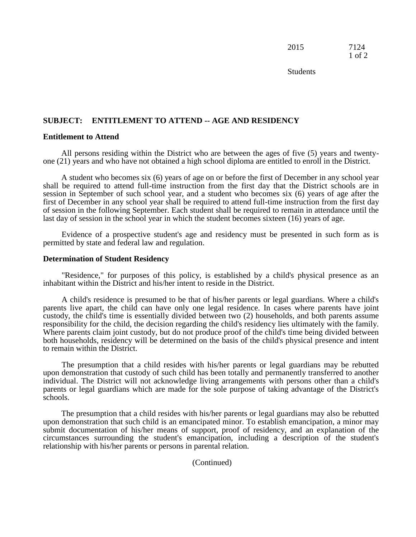| 2015 | 7124              |
|------|-------------------|
|      | $1 \text{ of } 2$ |

**Students** 

# **SUBJECT: ENTITLEMENT TO ATTEND -- AGE AND RESIDENCY**

### **Entitlement to Attend**

All persons residing within the District who are between the ages of five (5) years and twentyone (21) years and who have not obtained a high school diploma are entitled to enroll in the District.

A student who becomes six (6) years of age on or before the first of December in any school year shall be required to attend full-time instruction from the first day that the District schools are in session in September of such school year, and a student who becomes six (6) years of age after the first of December in any school year shall be required to attend full-time instruction from the first day of session in the following September. Each student shall be required to remain in attendance until the last day of session in the school year in which the student becomes sixteen (16) years of age.

Evidence of a prospective student's age and residency must be presented in such form as is permitted by state and federal law and regulation.

#### **Determination of Student Residency**

"Residence," for purposes of this policy, is established by a child's physical presence as an inhabitant within the District and his/her intent to reside in the District.

A child's residence is presumed to be that of his/her parents or legal guardians. Where a child's parents live apart, the child can have only one legal residence. In cases where parents have joint custody, the child's time is essentially divided between two (2) households, and both parents assume responsibility for the child, the decision regarding the child's residency lies ultimately with the family. Where parents claim joint custody, but do not produce proof of the child's time being divided between both households, residency will be determined on the basis of the child's physical presence and intent to remain within the District.

The presumption that a child resides with his/her parents or legal guardians may be rebutted upon demonstration that custody of such child has been totally and permanently transferred to another individual. The District will not acknowledge living arrangements with persons other than a child's parents or legal guardians which are made for the sole purpose of taking advantage of the District's schools.

The presumption that a child resides with his/her parents or legal guardians may also be rebutted upon demonstration that such child is an emancipated minor. To establish emancipation, a minor may submit documentation of his/her means of support, proof of residency, and an explanation of the circumstances surrounding the student's emancipation, including a description of the student's relationship with his/her parents or persons in parental relation.

(Continued)